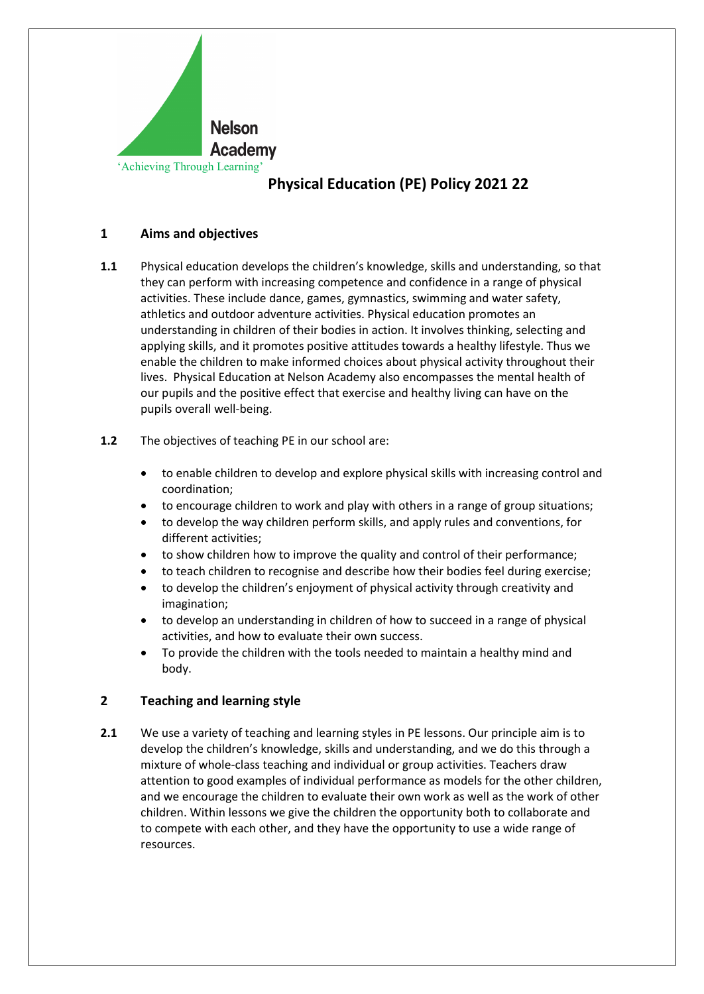

## **1 Aims and objectives**

- **1.1** Physical education develops the children's knowledge, skills and understanding, so that they can perform with increasing competence and confidence in a range of physical activities. These include dance, games, gymnastics, swimming and water safety, athletics and outdoor adventure activities. Physical education promotes an understanding in children of their bodies in action. It involves thinking, selecting and applying skills, and it promotes positive attitudes towards a healthy lifestyle. Thus we enable the children to make informed choices about physical activity throughout their lives. Physical Education at Nelson Academy also encompasses the mental health of our pupils and the positive effect that exercise and healthy living can have on the pupils overall well-being.
- **1.2** The objectives of teaching PE in our school are:
	- to enable children to develop and explore physical skills with increasing control and coordination;
	- to encourage children to work and play with others in a range of group situations;
	- to develop the way children perform skills, and apply rules and conventions, for different activities;
	- to show children how to improve the quality and control of their performance;
	- to teach children to recognise and describe how their bodies feel during exercise;
	- to develop the children's enjoyment of physical activity through creativity and imagination;
	- to develop an understanding in children of how to succeed in a range of physical activities, and how to evaluate their own success.
	- To provide the children with the tools needed to maintain a healthy mind and body.

## **2 Teaching and learning style**

**2.1** We use a variety of teaching and learning styles in PE lessons. Our principle aim is to develop the children's knowledge, skills and understanding, and we do this through a mixture of whole-class teaching and individual or group activities. Teachers draw attention to good examples of individual performance as models for the other children, and we encourage the children to evaluate their own work as well as the work of other children. Within lessons we give the children the opportunity both to collaborate and to compete with each other, and they have the opportunity to use a wide range of resources.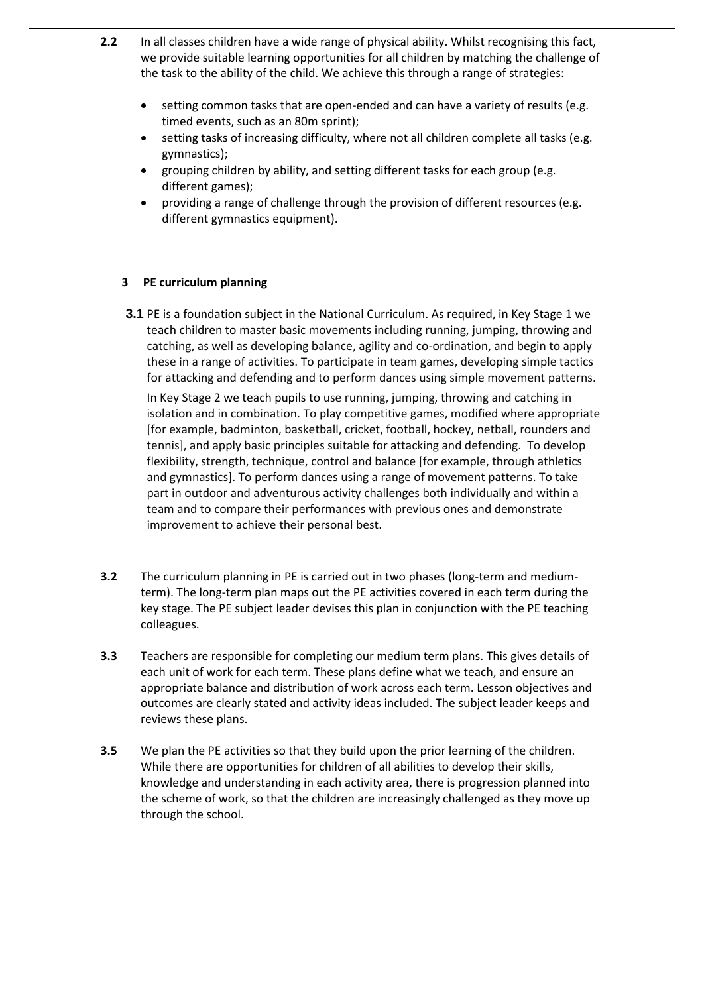- **2.2** In all classes children have a wide range of physical ability. Whilst recognising this fact, we provide suitable learning opportunities for all children by matching the challenge of the task to the ability of the child. We achieve this through a range of strategies:
	- setting common tasks that are open-ended and can have a variety of results (e.g. timed events, such as an 80m sprint);
	- setting tasks of increasing difficulty, where not all children complete all tasks (e.g. gymnastics);
	- grouping children by ability, and setting different tasks for each group (e.g. different games);
	- providing a range of challenge through the provision of different resources (e.g. different gymnastics equipment).

#### **3 PE curriculum planning**

**3.1** PE is a foundation subject in the National Curriculum. As required, in Key Stage 1 we teach children to master basic movements including running, jumping, throwing and catching, as well as developing balance, agility and co-ordination, and begin to apply these in a range of activities. To participate in team games, developing simple tactics for attacking and defending and to perform dances using simple movement patterns.

In Key Stage 2 we teach pupils to use running, jumping, throwing and catching in isolation and in combination. To play competitive games, modified where appropriate [for example, badminton, basketball, cricket, football, hockey, netball, rounders and tennis], and apply basic principles suitable for attacking and defending. To develop flexibility, strength, technique, control and balance [for example, through athletics and gymnastics]. To perform dances using a range of movement patterns. To take part in outdoor and adventurous activity challenges both individually and within a team and to compare their performances with previous ones and demonstrate improvement to achieve their personal best.

- **3.2** The curriculum planning in PE is carried out in two phases (long-term and mediumterm). The long-term plan maps out the PE activities covered in each term during the key stage. The PE subject leader devises this plan in conjunction with the PE teaching colleagues.
- **3.3** Teachers are responsible for completing our medium term plans. This gives details of each unit of work for each term. These plans define what we teach, and ensure an appropriate balance and distribution of work across each term. Lesson objectives and outcomes are clearly stated and activity ideas included. The subject leader keeps and reviews these plans.
- **3.5** We plan the PE activities so that they build upon the prior learning of the children. While there are opportunities for children of all abilities to develop their skills, knowledge and understanding in each activity area, there is progression planned into the scheme of work, so that the children are increasingly challenged as they move up through the school.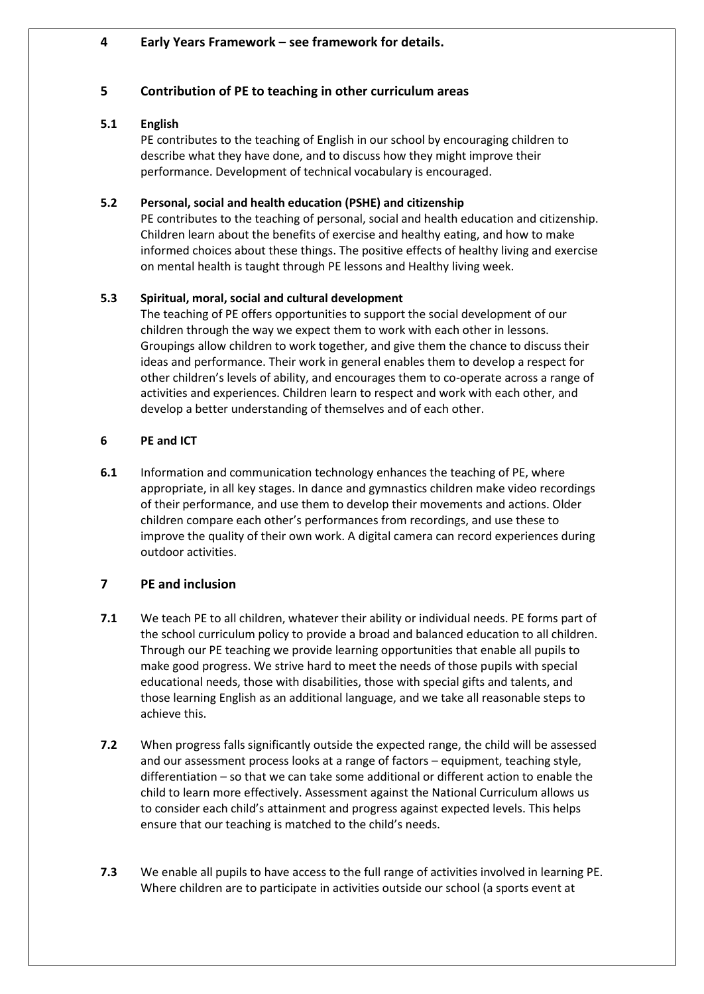### **4 Early Years Framework – see framework for details.**

### **5 Contribution of PE to teaching in other curriculum areas**

#### **5.1 English**

PE contributes to the teaching of English in our school by encouraging children to describe what they have done, and to discuss how they might improve their performance. Development of technical vocabulary is encouraged.

#### **5.2 Personal, social and health education (PSHE) and citizenship**

PE contributes to the teaching of personal, social and health education and citizenship. Children learn about the benefits of exercise and healthy eating, and how to make informed choices about these things. The positive effects of healthy living and exercise on mental health is taught through PE lessons and Healthy living week.

## **5.3 Spiritual, moral, social and cultural development**

The teaching of PE offers opportunities to support the social development of our children through the way we expect them to work with each other in lessons. Groupings allow children to work together, and give them the chance to discuss their ideas and performance. Their work in general enables them to develop a respect for other children's levels of ability, and encourages them to co-operate across a range of activities and experiences. Children learn to respect and work with each other, and develop a better understanding of themselves and of each other.

### **6 PE and ICT**

**6.1** Information and communication technology enhances the teaching of PE, where appropriate, in all key stages. In dance and gymnastics children make video recordings of their performance, and use them to develop their movements and actions. Older children compare each other's performances from recordings, and use these to improve the quality of their own work. A digital camera can record experiences during outdoor activities.

## **7 PE and inclusion**

- **7.1** We teach PE to all children, whatever their ability or individual needs. PE forms part of the school curriculum policy to provide a broad and balanced education to all children. Through our PE teaching we provide learning opportunities that enable all pupils to make good progress. We strive hard to meet the needs of those pupils with special educational needs, those with disabilities, those with special gifts and talents, and those learning English as an additional language, and we take all reasonable steps to achieve this.
- **7.2** When progress falls significantly outside the expected range, the child will be assessed and our assessment process looks at a range of factors – equipment, teaching style, differentiation – so that we can take some additional or different action to enable the child to learn more effectively. Assessment against the National Curriculum allows us to consider each child's attainment and progress against expected levels. This helps ensure that our teaching is matched to the child's needs.
- **7.3** We enable all pupils to have access to the full range of activities involved in learning PE. Where children are to participate in activities outside our school (a sports event at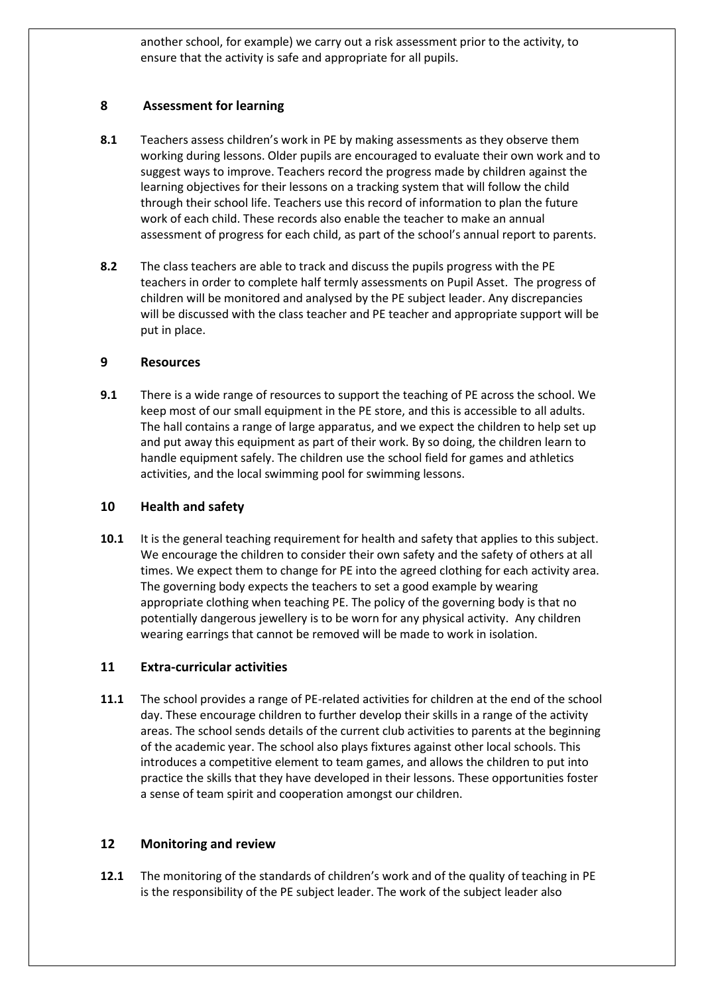another school, for example) we carry out a risk assessment prior to the activity, to ensure that the activity is safe and appropriate for all pupils.

# **8 Assessment for learning**

- **8.1** Teachers assess children's work in PE by making assessments as they observe them working during lessons. Older pupils are encouraged to evaluate their own work and to suggest ways to improve. Teachers record the progress made by children against the learning objectives for their lessons on a tracking system that will follow the child through their school life. Teachers use this record of information to plan the future work of each child. These records also enable the teacher to make an annual assessment of progress for each child, as part of the school's annual report to parents.
- **8.2** The class teachers are able to track and discuss the pupils progress with the PE teachers in order to complete half termly assessments on Pupil Asset. The progress of children will be monitored and analysed by the PE subject leader. Any discrepancies will be discussed with the class teacher and PE teacher and appropriate support will be put in place.

## **9 Resources**

**9.1** There is a wide range of resources to support the teaching of PE across the school. We keep most of our small equipment in the PE store, and this is accessible to all adults. The hall contains a range of large apparatus, and we expect the children to help set up and put away this equipment as part of their work. By so doing, the children learn to handle equipment safely. The children use the school field for games and athletics activities, and the local swimming pool for swimming lessons.

## **10 Health and safety**

**10.1** It is the general teaching requirement for health and safety that applies to this subject. We encourage the children to consider their own safety and the safety of others at all times. We expect them to change for PE into the agreed clothing for each activity area. The governing body expects the teachers to set a good example by wearing appropriate clothing when teaching PE. The policy of the governing body is that no potentially dangerous jewellery is to be worn for any physical activity. Any children wearing earrings that cannot be removed will be made to work in isolation.

## **11 Extra-curricular activities**

**11.1** The school provides a range of PE-related activities for children at the end of the school day. These encourage children to further develop their skills in a range of the activity areas. The school sends details of the current club activities to parents at the beginning of the academic year. The school also plays fixtures against other local schools. This introduces a competitive element to team games, and allows the children to put into practice the skills that they have developed in their lessons. These opportunities foster a sense of team spirit and cooperation amongst our children.

## **12 Monitoring and review**

**12.1** The monitoring of the standards of children's work and of the quality of teaching in PE is the responsibility of the PE subject leader. The work of the subject leader also